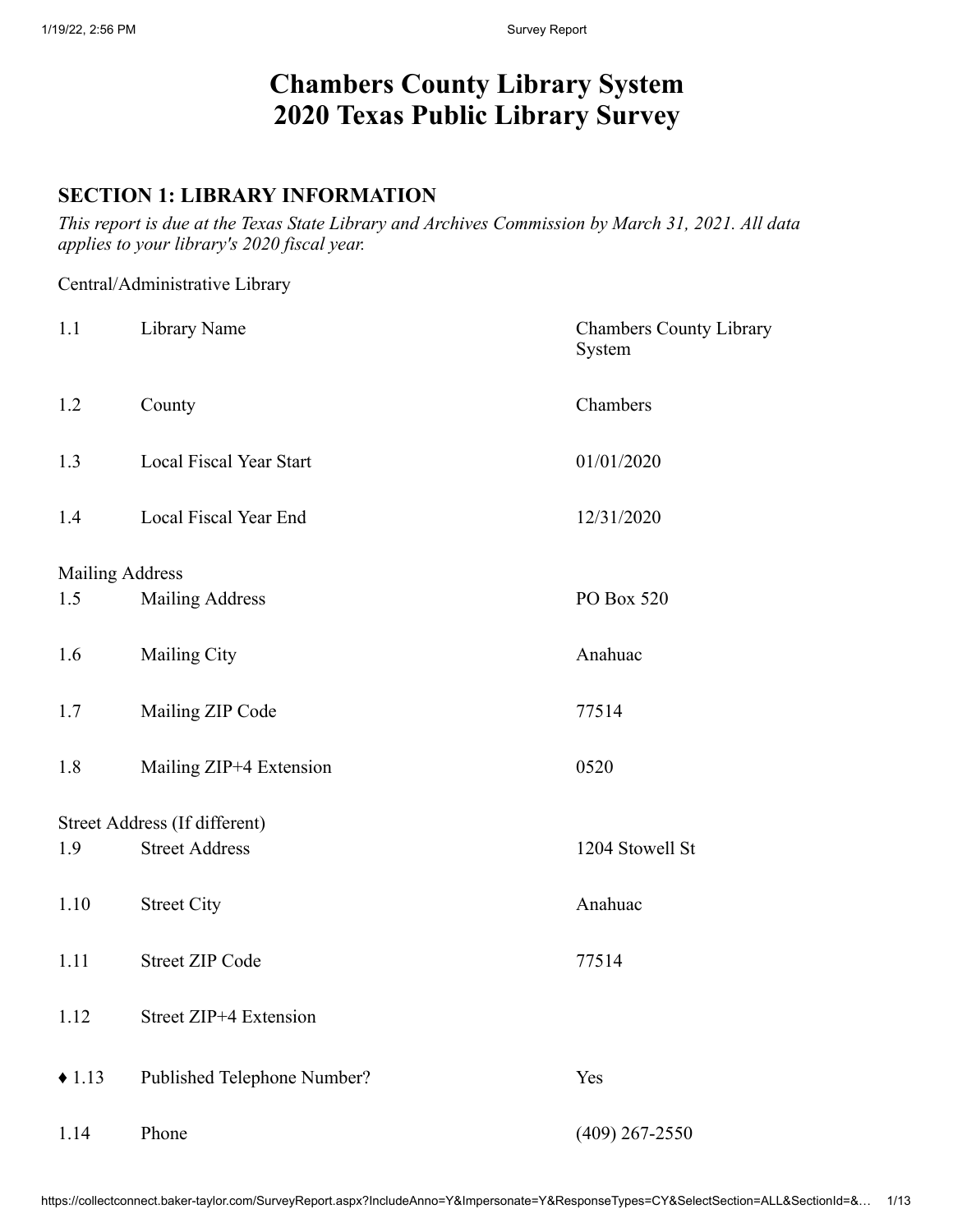# **Chambers County Library System 2020 Texas Public Library Survey**

#### **SECTION 1: LIBRARY INFORMATION**

*This report is due at the Texas State Library and Archives Commission by March 31, 2021. All data applies to your library's 2020 fiscal year.*

#### Central/Administrative Library

| 1.1                           | Library Name                                           | <b>Chambers County Library</b><br>System |
|-------------------------------|--------------------------------------------------------|------------------------------------------|
| 1.2                           | County                                                 | Chambers                                 |
| 1.3                           | Local Fiscal Year Start                                | 01/01/2020                               |
| 1.4                           | Local Fiscal Year End                                  | 12/31/2020                               |
|                               |                                                        |                                          |
| <b>Mailing Address</b><br>1.5 | <b>Mailing Address</b>                                 | PO Box 520                               |
| 1.6                           | Mailing City                                           | Anahuac                                  |
| 1.7                           | Mailing ZIP Code                                       | 77514                                    |
| 1.8                           | Mailing ZIP+4 Extension                                | 0520                                     |
|                               |                                                        |                                          |
| 1.9                           | Street Address (If different)<br><b>Street Address</b> | 1204 Stowell St                          |
| 1.10                          | <b>Street City</b>                                     | Anahuac                                  |
| 1.11                          | <b>Street ZIP Code</b>                                 | 77514                                    |
| 1.12                          | Street ZIP+4 Extension                                 |                                          |
| $\triangle$ 1.13              | Published Telephone Number?                            | Yes                                      |
| 1.14                          | Phone                                                  | $(409)$ 267-2550                         |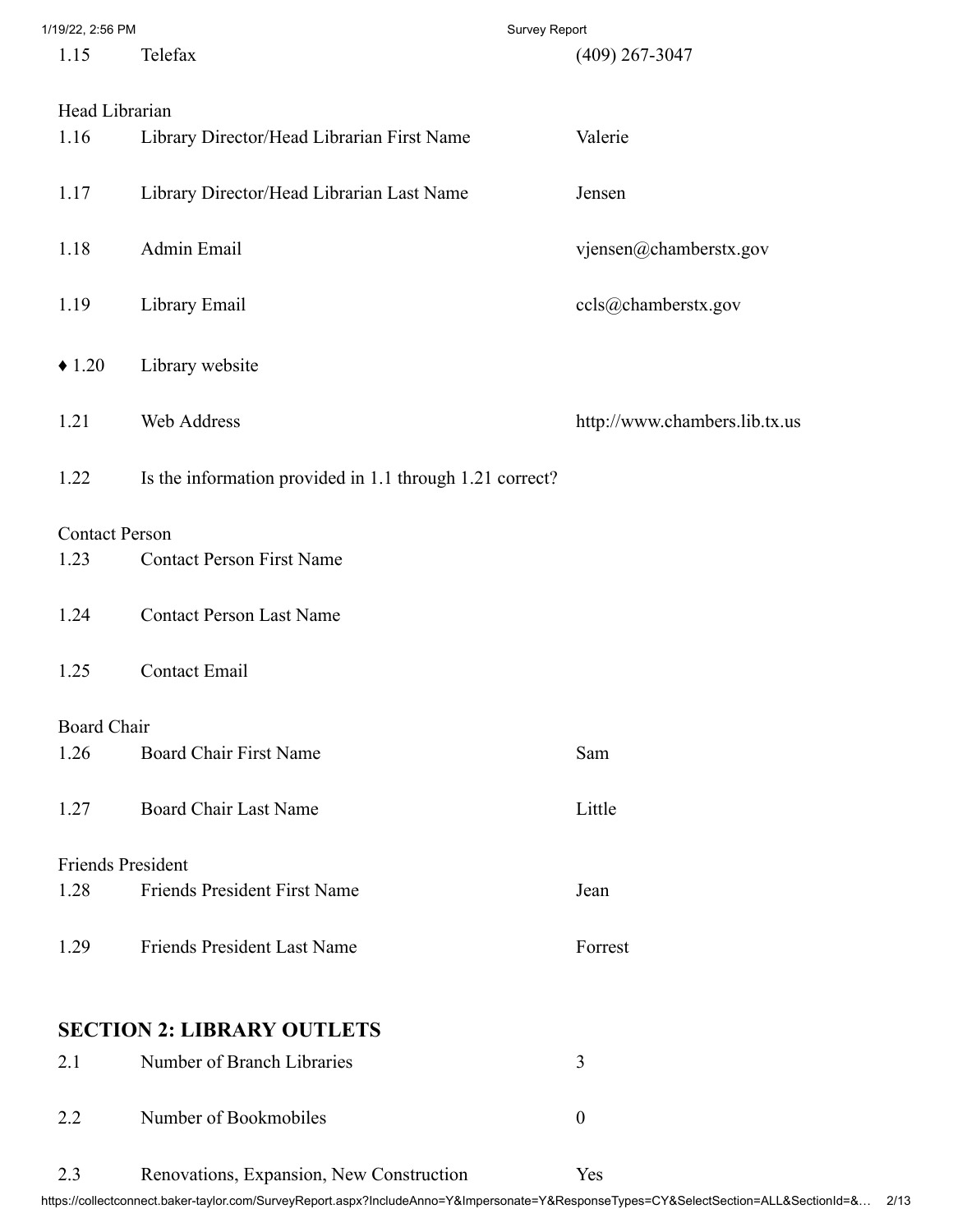| 1/19/22, 2:56 PM |  |
|------------------|--|
|                  |  |

| 1/19/22, 2:56 PM         | <b>Survey Report</b>                                     |                               |
|--------------------------|----------------------------------------------------------|-------------------------------|
| 1.15                     | Telefax                                                  | $(409)$ 267-3047              |
| Head Librarian           |                                                          |                               |
| 1.16                     | Library Director/Head Librarian First Name               | Valerie                       |
| 1.17                     | Library Director/Head Librarian Last Name                | Jensen                        |
| 1.18                     | Admin Email                                              | vjensen@chamberstx.gov        |
| 1.19                     | Library Email                                            | ccls@chamberstx.gov           |
| $\triangle$ 1.20         | Library website                                          |                               |
| 1.21                     | Web Address                                              | http://www.chambers.lib.tx.us |
| 1.22                     | Is the information provided in 1.1 through 1.21 correct? |                               |
| <b>Contact Person</b>    |                                                          |                               |
| 1.23                     | <b>Contact Person First Name</b>                         |                               |
| 1.24                     | <b>Contact Person Last Name</b>                          |                               |
| 1.25                     | <b>Contact Email</b>                                     |                               |
| <b>Board Chair</b>       |                                                          |                               |
| 1.26                     | <b>Board Chair First Name</b>                            | Sam                           |
| 1.27                     | <b>Board Chair Last Name</b>                             | Little                        |
| <b>Friends President</b> |                                                          |                               |
| 1.28                     | <b>Friends President First Name</b>                      | Jean                          |
| 1.29                     | <b>Friends President Last Name</b>                       | Forrest                       |
|                          | <b>SECTION 2: LIBRARY OUTLETS</b>                        |                               |
| 2.1                      | Number of Branch Libraries                               | 3                             |
| 2.2                      | Number of Bookmobiles                                    | $\boldsymbol{0}$              |
| 2.3                      | Renovations, Expansion, New Construction                 | Yes                           |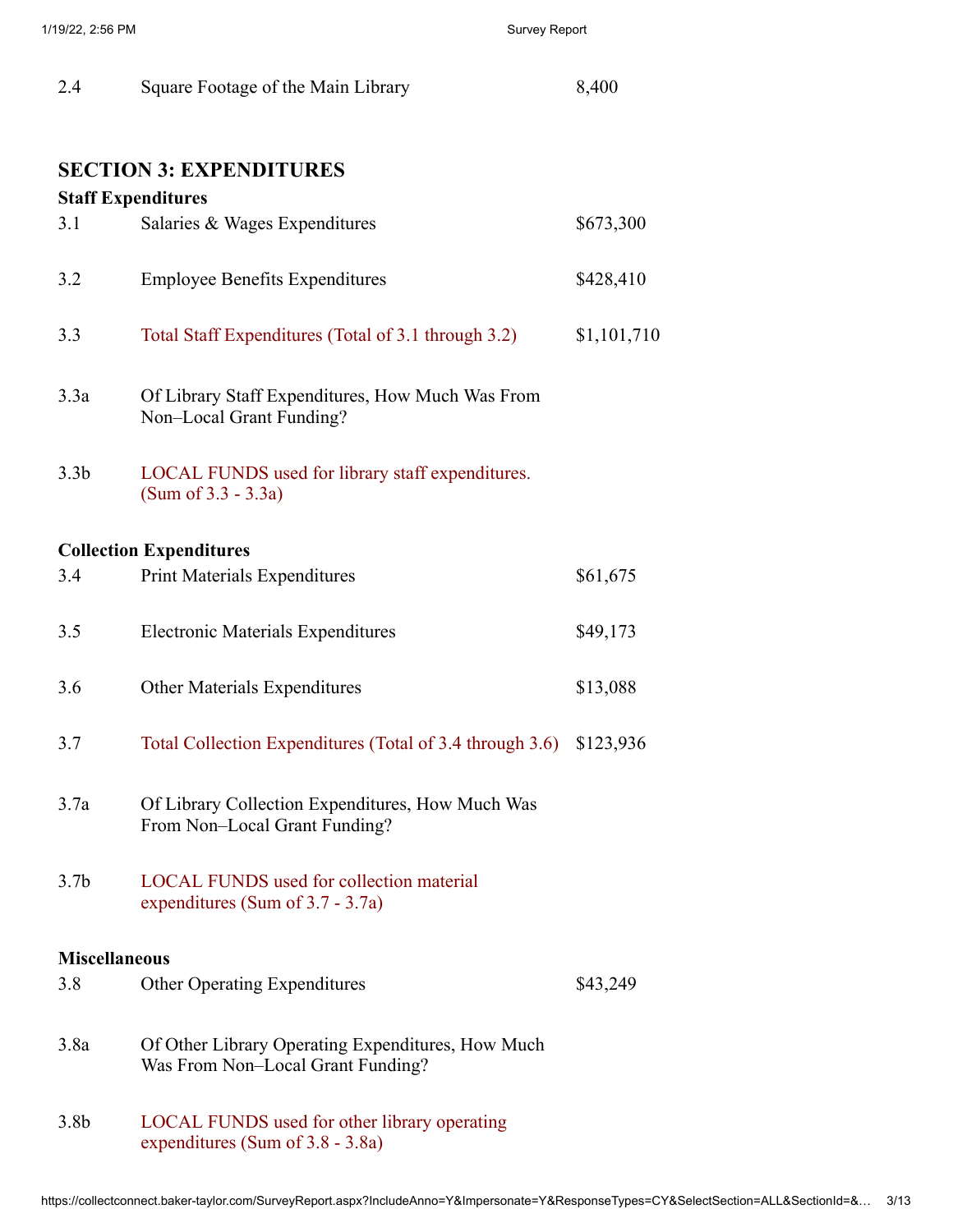| 2.4 | Square Footage of the Main Library | 8,400 |
|-----|------------------------------------|-------|
|-----|------------------------------------|-------|

#### **SECTION 3: EXPENDITURES**

#### **Staff Expenditures**

| 3.1                  | Salaries & Wages Expenditures                                                          | \$673,300   |
|----------------------|----------------------------------------------------------------------------------------|-------------|
| 3.2                  | <b>Employee Benefits Expenditures</b>                                                  | \$428,410   |
| 3.3                  | Total Staff Expenditures (Total of 3.1 through 3.2)                                    | \$1,101,710 |
| 3.3a                 | Of Library Staff Expenditures, How Much Was From<br>Non-Local Grant Funding?           |             |
| 3.3 <sub>b</sub>     | LOCAL FUNDS used for library staff expenditures.<br>$(Sum of 3.3 - 3.3a)$              |             |
|                      | <b>Collection Expenditures</b>                                                         |             |
| 3.4                  | <b>Print Materials Expenditures</b>                                                    | \$61,675    |
| 3.5                  | <b>Electronic Materials Expenditures</b>                                               | \$49,173    |
| 3.6                  | <b>Other Materials Expenditures</b>                                                    | \$13,088    |
| 3.7                  | Total Collection Expenditures (Total of 3.4 through 3.6)                               | \$123,936   |
| 3.7a                 | Of Library Collection Expenditures, How Much Was<br>From Non-Local Grant Funding?      |             |
| 3.7 <sub>b</sub>     | <b>LOCAL FUNDS</b> used for collection material<br>expenditures (Sum of $3.7 - 3.7a$ ) |             |
| <b>Miscellaneous</b> |                                                                                        |             |
| 3.8                  | <b>Other Operating Expenditures</b>                                                    | \$43,249    |
| 3.8a                 | Of Other Library Operating Expenditures, How Much<br>Was From Non-Local Grant Funding? |             |
| 3.8 <sub>b</sub>     | LOCAL FUNDS used for other library operating<br>expenditures (Sum of 3.8 - 3.8a)       |             |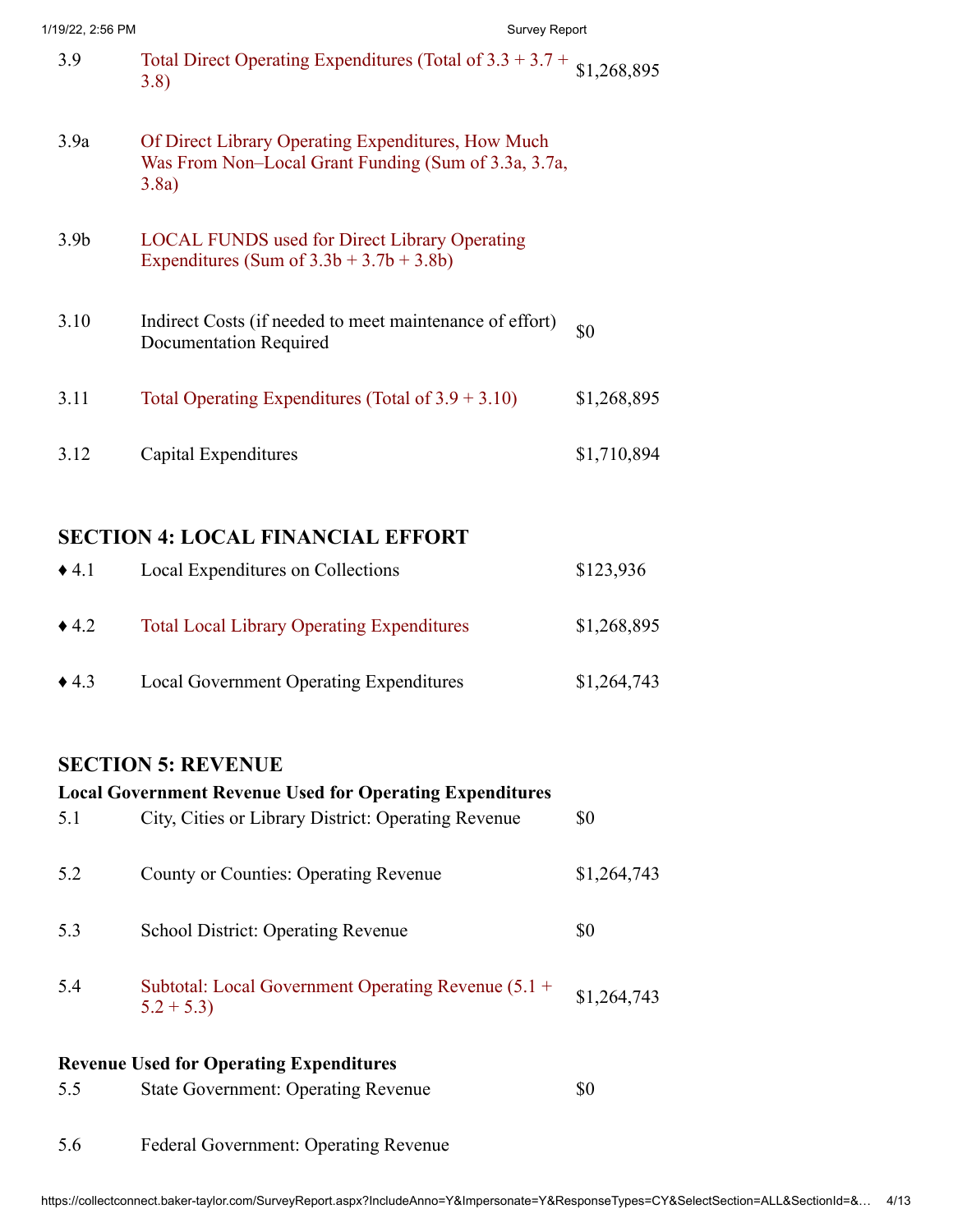|  | 1/19/22, 2:56 PM |  |
|--|------------------|--|
|  |                  |  |

| 1/19/22, 2:56 PM | <b>Survey Report</b>                                                                                                |             |
|------------------|---------------------------------------------------------------------------------------------------------------------|-------------|
| 3.9              | Total Direct Operating Expenditures (Total of $3.3 + 3.7 + 1.2688895$<br>3.8)                                       |             |
| 3.9a             | Of Direct Library Operating Expenditures, How Much<br>Was From Non-Local Grant Funding (Sum of 3.3a, 3.7a,<br>3.8a) |             |
| 3.9 <sub>b</sub> | <b>LOCAL FUNDS</b> used for Direct Library Operating<br>Expenditures (Sum of $3.3b + 3.7b + 3.8b$ )                 |             |
| 3.10             | Indirect Costs (if needed to meet maintenance of effort)<br><b>Documentation Required</b>                           | \$0         |
| 3.11             | Total Operating Expenditures (Total of $3.9 + 3.10$ )                                                               | \$1,268,895 |
| 3.12             | Capital Expenditures                                                                                                | \$1,710,894 |

# **SECTION 4: LOCAL FINANCIAL EFFORT**

| $\triangle$ 4.1 | Local Expenditures on Collections                 | \$123,936   |
|-----------------|---------------------------------------------------|-------------|
| $\triangle$ 4.2 | <b>Total Local Library Operating Expenditures</b> | \$1,268,895 |
| $\triangle$ 4.3 | Local Government Operating Expenditures           | \$1,264,743 |

## **SECTION 5: REVENUE**

|     | <b>Local Government Revenue Used for Operating Expenditures</b>      |             |
|-----|----------------------------------------------------------------------|-------------|
| 5.1 | City, Cities or Library District: Operating Revenue                  | \$0         |
| 5.2 | <b>County or Counties: Operating Revenue</b>                         | \$1,264,743 |
| 5.3 | <b>School District: Operating Revenue</b>                            | \$0         |
| 5.4 | Subtotal: Local Government Operating Revenue $(5.1 +$<br>$5.2 + 5.3$ | \$1,264,743 |
|     | <b>Revenue Used for Operating Expenditures</b>                       |             |
| 5.5 | <b>State Government: Operating Revenue</b>                           | \$0         |
| 5.6 | <b>Federal Government: Operating Revenue</b>                         |             |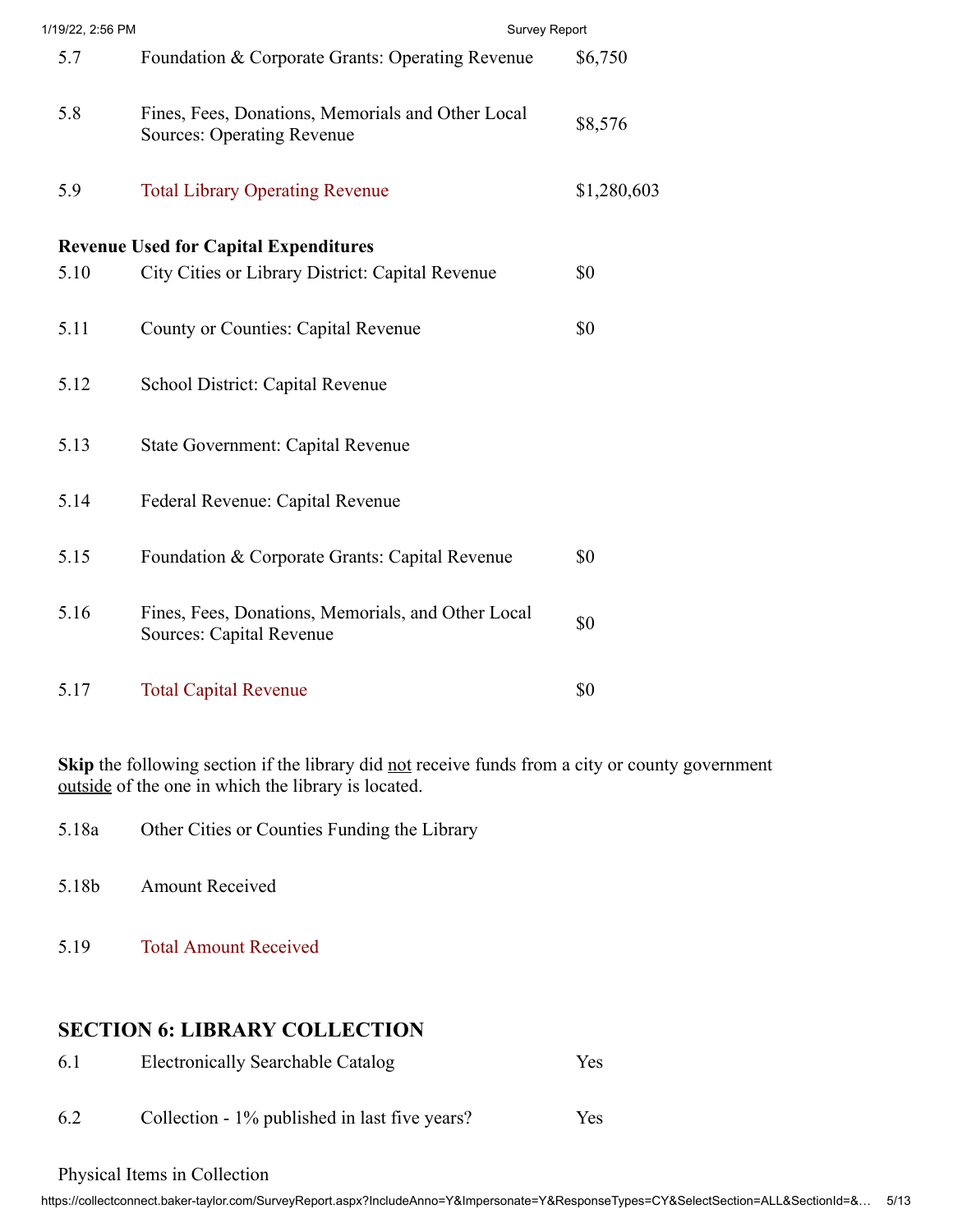| 1/19/22, 2:56 PM | Survey Report                                                                          |             |
|------------------|----------------------------------------------------------------------------------------|-------------|
| 5.7              | Foundation & Corporate Grants: Operating Revenue                                       | \$6,750     |
| 5.8              | Fines, Fees, Donations, Memorials and Other Local<br><b>Sources: Operating Revenue</b> | \$8,576     |
| 5.9              | <b>Total Library Operating Revenue</b>                                                 | \$1,280,603 |
|                  | <b>Revenue Used for Capital Expenditures</b>                                           |             |
| 5.10             | City Cities or Library District: Capital Revenue                                       | \$0         |
| 5.11             | <b>County or Counties: Capital Revenue</b>                                             | \$0         |
| 5.12             | School District: Capital Revenue                                                       |             |
| 5.13             | <b>State Government: Capital Revenue</b>                                               |             |
| 5.14             | Federal Revenue: Capital Revenue                                                       |             |
| 5.15             | Foundation & Corporate Grants: Capital Revenue                                         | \$0         |
| 5.16             | Fines, Fees, Donations, Memorials, and Other Local<br>Sources: Capital Revenue         | \$0         |
| 5.17             | <b>Total Capital Revenue</b>                                                           | \$0         |

Skip the following section if the library did not receive funds from a city or county government outside of the one in which the library is located.

- 5.18a Other Cities or Counties Funding the Library
- 5.18b Amount Received
- 5.19 Total Amount Received

### **SECTION 6: LIBRARY COLLECTION**

| 6.1 | Electronically Searchable Catalog             | <b>Yes</b> |
|-----|-----------------------------------------------|------------|
| 6.2 | Collection - 1% published in last five years? | Yes        |

#### Physical Items in Collection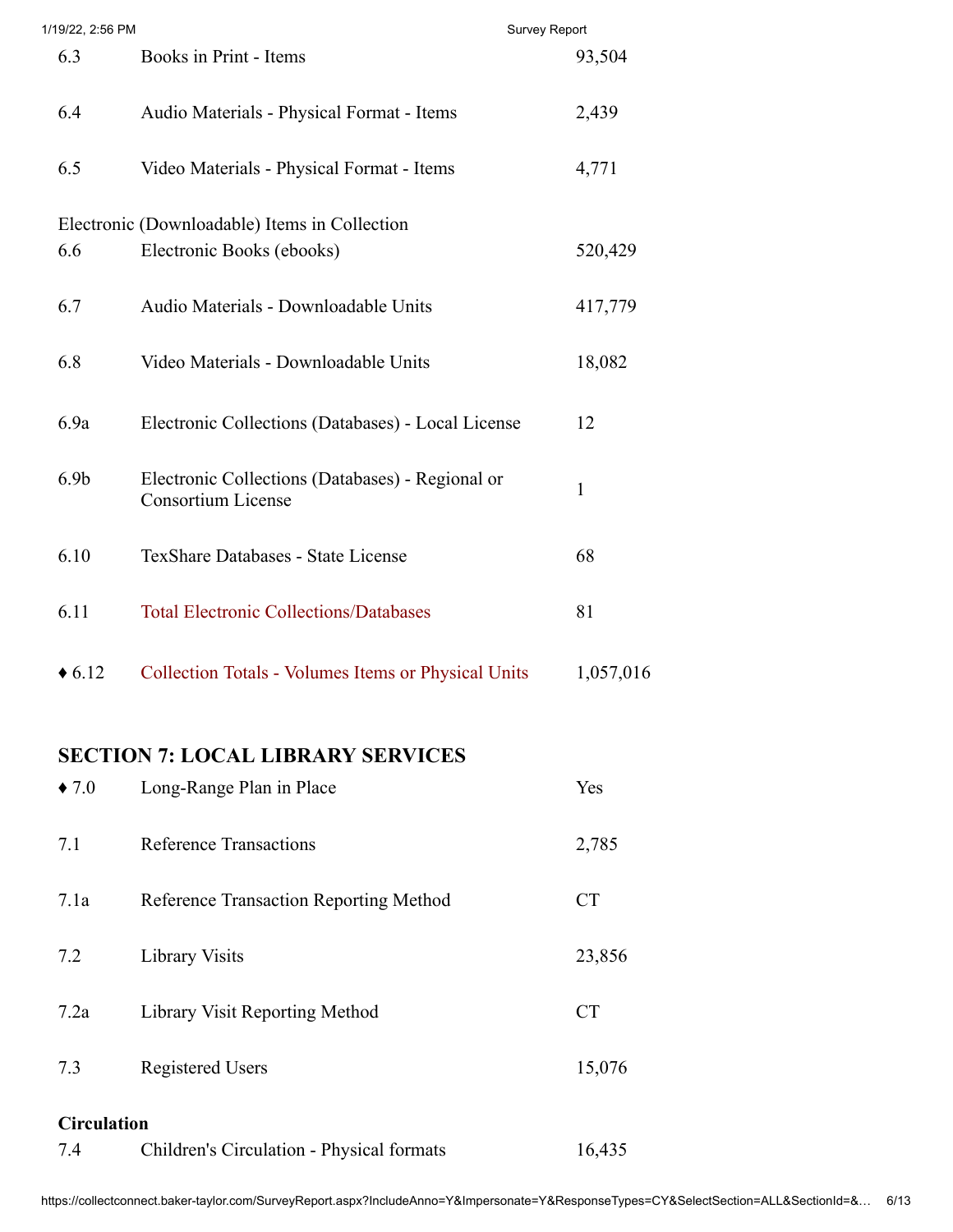| 1/19/22, 2:56 PM |                                                                               | <b>Survey Report</b> |
|------------------|-------------------------------------------------------------------------------|----------------------|
| 6.3              | Books in Print - Items                                                        | 93,504               |
| 6.4              | Audio Materials - Physical Format - Items                                     | 2,439                |
| 6.5              | Video Materials - Physical Format - Items                                     | 4,771                |
|                  | Electronic (Downloadable) Items in Collection                                 |                      |
| 6.6              | Electronic Books (ebooks)                                                     | 520,429              |
| 6.7              | Audio Materials - Downloadable Units                                          | 417,779              |
| 6.8              | Video Materials - Downloadable Units                                          | 18,082               |
| 6.9a             | Electronic Collections (Databases) - Local License                            | 12                   |
| 6.9 <sub>b</sub> | Electronic Collections (Databases) - Regional or<br><b>Consortium License</b> | $\mathbf{1}$         |
| 6.10             | TexShare Databases - State License                                            | 68                   |
| 6.11             | <b>Total Electronic Collections/Databases</b>                                 | 81                   |
| $\triangle 6.12$ | <b>Collection Totals - Volumes Items or Physical Units</b>                    | 1,057,016            |

# **SECTION 7: LOCAL LIBRARY SERVICES**

| $\bullet$ 7.0      | Long-Range Plan in Place                  | Yes       |
|--------------------|-------------------------------------------|-----------|
| 7.1                | Reference Transactions                    | 2,785     |
| 7.1a               | Reference Transaction Reporting Method    | <b>CT</b> |
| 7.2                | Library Visits                            | 23,856    |
| 7.2a               | Library Visit Reporting Method            | <b>CT</b> |
| 7.3                | <b>Registered Users</b>                   | 15,076    |
| <b>Circulation</b> |                                           |           |
| 7.4                | Children's Circulation - Physical formats | 16,435    |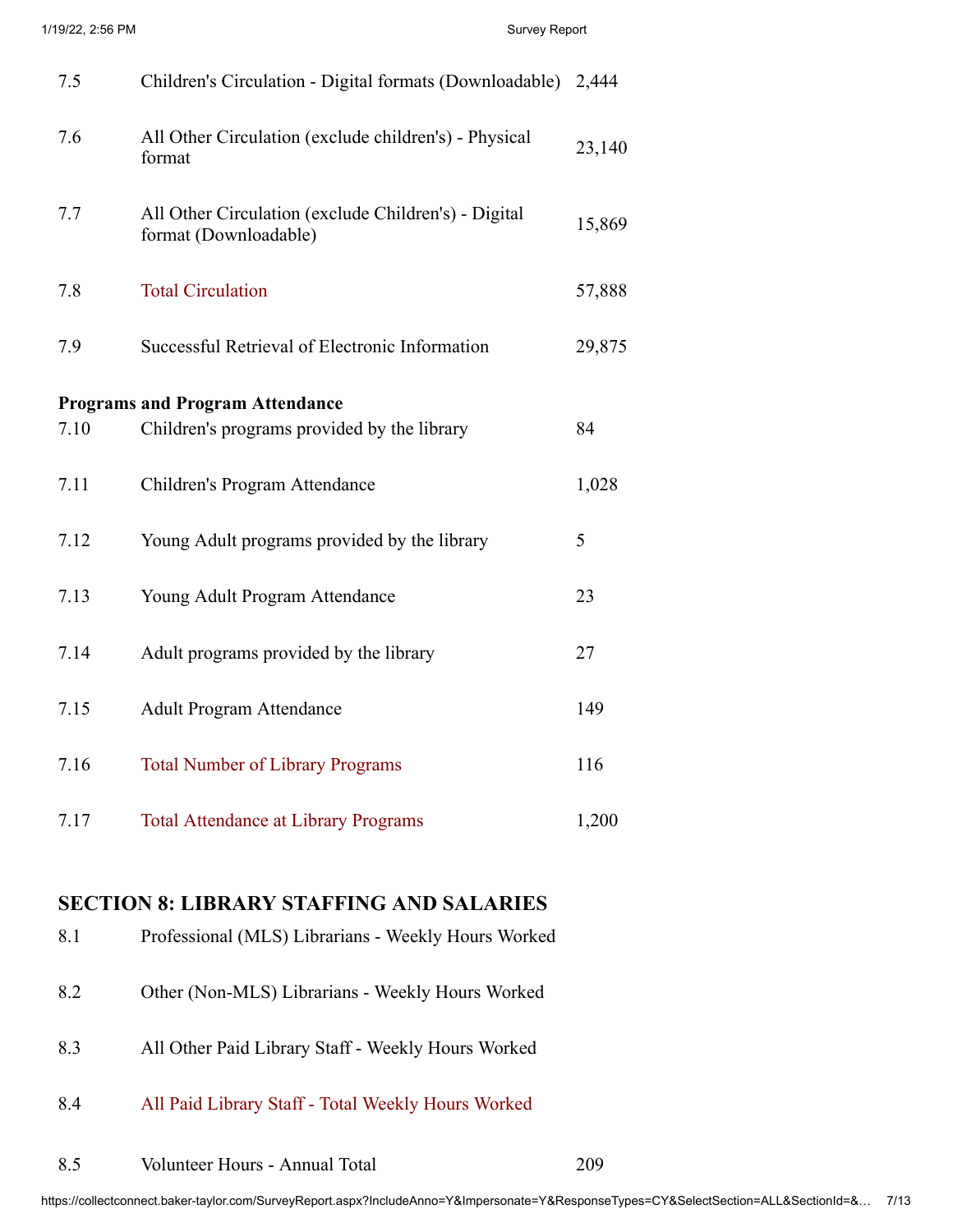| 7.5  | Children's Circulation - Digital formats (Downloadable)                       |        |
|------|-------------------------------------------------------------------------------|--------|
| 7.6  | All Other Circulation (exclude children's) - Physical<br>format               |        |
| 7.7  | All Other Circulation (exclude Children's) - Digital<br>format (Downloadable) | 15,869 |
| 7.8  | <b>Total Circulation</b>                                                      | 57,888 |
| 7.9  | Successful Retrieval of Electronic Information                                |        |
|      |                                                                               |        |
|      | <b>Programs and Program Attendance</b>                                        |        |
| 7.10 | Children's programs provided by the library                                   | 84     |
| 7.11 | Children's Program Attendance                                                 | 1,028  |
| 7.12 | Young Adult programs provided by the library                                  | 5      |
| 7.13 | Young Adult Program Attendance                                                | 23     |
| 7.14 | Adult programs provided by the library                                        | 27     |
| 7.15 | <b>Adult Program Attendance</b>                                               | 149    |
| 7.16 | <b>Total Number of Library Programs</b>                                       | 116    |
| 7.17 | <b>Total Attendance at Library Programs</b>                                   | 1,200  |

#### **SECTION 8: LIBRARY STAFFING AND SALARIES**

- 8.1 Professional (MLS) Librarians Weekly Hours Worked
- 8.2 Other (Non-MLS) Librarians Weekly Hours Worked
- 8.3 All Other Paid Library Staff Weekly Hours Worked
- 8.4 All Paid Library Staff Total Weekly Hours Worked
- 8.5 Volunteer Hours Annual Total 209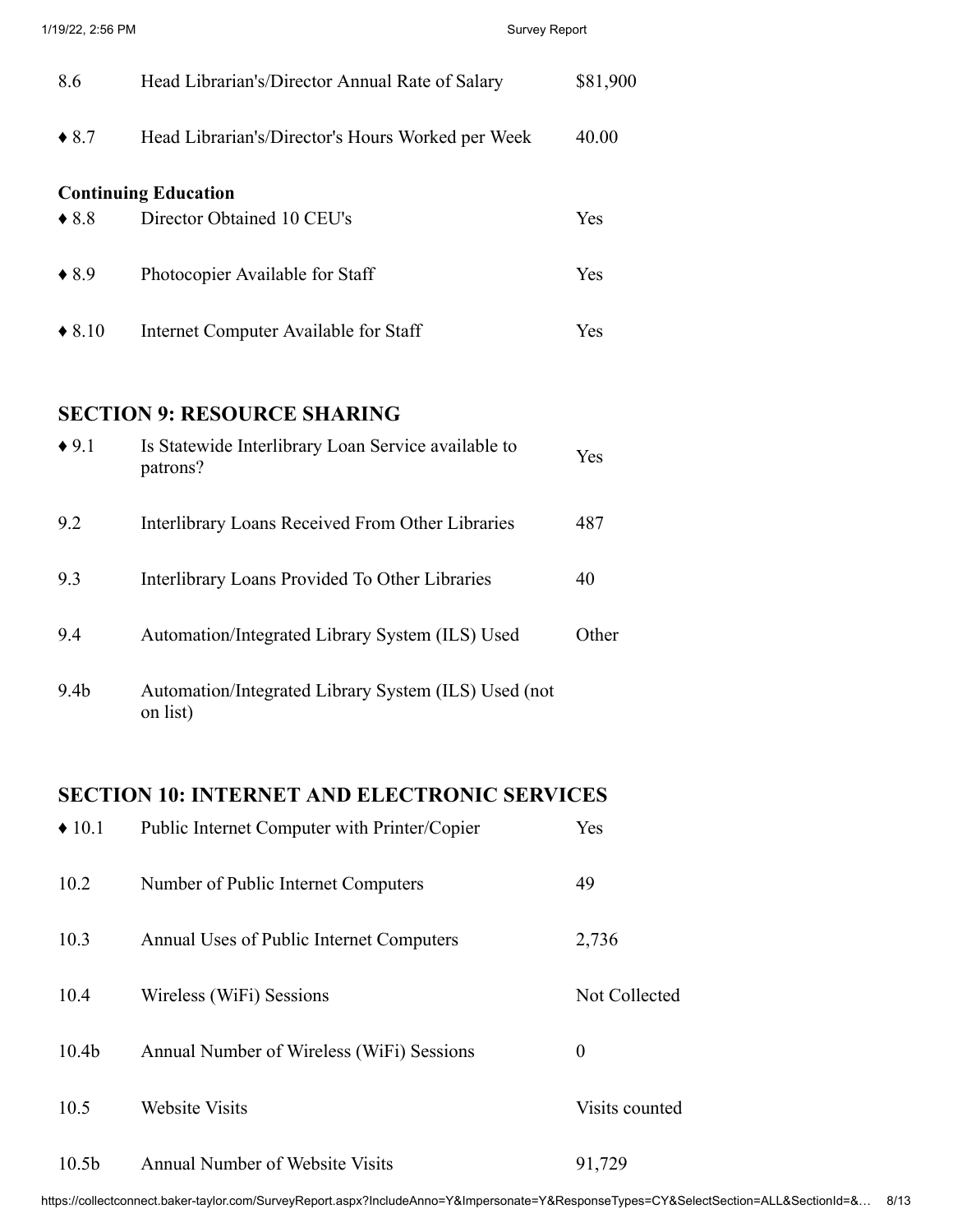| 8.6              | Head Librarian's/Director Annual Rate of Salary   | \$81,900 |
|------------------|---------------------------------------------------|----------|
| $\triangle$ 8.7  | Head Librarian's/Director's Hours Worked per Week | 40.00    |
|                  | <b>Continuing Education</b>                       |          |
| $\bullet$ 8.8    | Director Obtained 10 CEU's                        | Yes      |
| $\triangle$ 8.9  | Photocopier Available for Staff                   | Yes      |
| $\triangle$ 8.10 | Internet Computer Available for Staff             | Yes      |

#### **SECTION 9: RESOURCE SHARING**

| $\triangle$ 9.1  | Is Statewide Interlibrary Loan Service available to<br>patrons?  | Yes   |
|------------------|------------------------------------------------------------------|-------|
| 9.2              | Interlibrary Loans Received From Other Libraries                 | 487   |
| 9.3              | Interlibrary Loans Provided To Other Libraries                   | 40    |
| 9.4              | Automation/Integrated Library System (ILS) Used                  | Other |
| 9.4 <sub>b</sub> | Automation/Integrated Library System (ILS) Used (not<br>on list) |       |

#### **SECTION 10: INTERNET AND ELECTRONIC SERVICES**

| $\triangle$ 10.1  | Public Internet Computer with Printer/Copier | Yes            |
|-------------------|----------------------------------------------|----------------|
| 10.2              | Number of Public Internet Computers          | 49             |
| 10.3              | Annual Uses of Public Internet Computers     | 2,736          |
| 10.4              | Wireless (WiFi) Sessions                     | Not Collected  |
| 10.4 <sub>b</sub> | Annual Number of Wireless (WiFi) Sessions    | $\theta$       |
| 10.5              | <b>Website Visits</b>                        | Visits counted |
| 10.5 <sub>b</sub> | <b>Annual Number of Website Visits</b>       | 91,729         |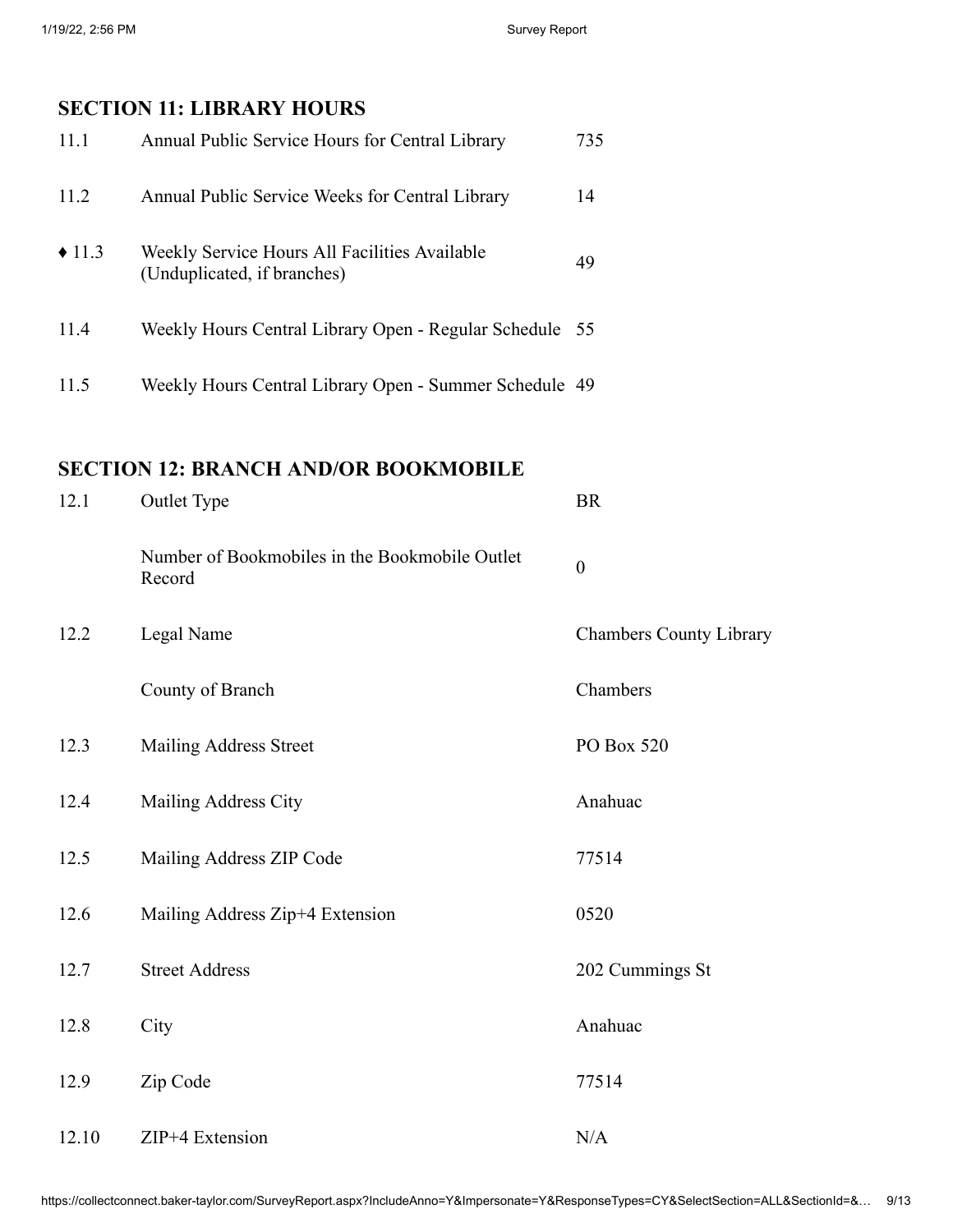# **SECTION 11: LIBRARY HOURS**

| 11.1                 | Annual Public Service Hours for Central Library                              | 735 |
|----------------------|------------------------------------------------------------------------------|-----|
| 11.2                 | Annual Public Service Weeks for Central Library                              | 14  |
| $\triangleleft$ 11.3 | Weekly Service Hours All Facilities Available<br>(Unduplicated, if branches) | 49  |
| 11.4                 | Weekly Hours Central Library Open - Regular Schedule 55                      |     |
| 11.5                 | Weekly Hours Central Library Open - Summer Schedule 49                       |     |

# **SECTION 12: BRANCH AND/OR BOOKMOBILE**

| 12.1  | Outlet Type                                              | <b>BR</b>                      |
|-------|----------------------------------------------------------|--------------------------------|
|       | Number of Bookmobiles in the Bookmobile Outlet<br>Record | $\boldsymbol{0}$               |
| 12.2  | Legal Name                                               | <b>Chambers County Library</b> |
|       | County of Branch                                         | Chambers                       |
| 12.3  | Mailing Address Street                                   | PO Box 520                     |
| 12.4  | Mailing Address City                                     | Anahuac                        |
| 12.5  | Mailing Address ZIP Code                                 | 77514                          |
| 12.6  | Mailing Address Zip+4 Extension                          | 0520                           |
| 12.7  | <b>Street Address</b>                                    | 202 Cummings St                |
| 12.8  | City                                                     | Anahuac                        |
| 12.9  | Zip Code                                                 | 77514                          |
| 12.10 | ZIP+4 Extension                                          | N/A                            |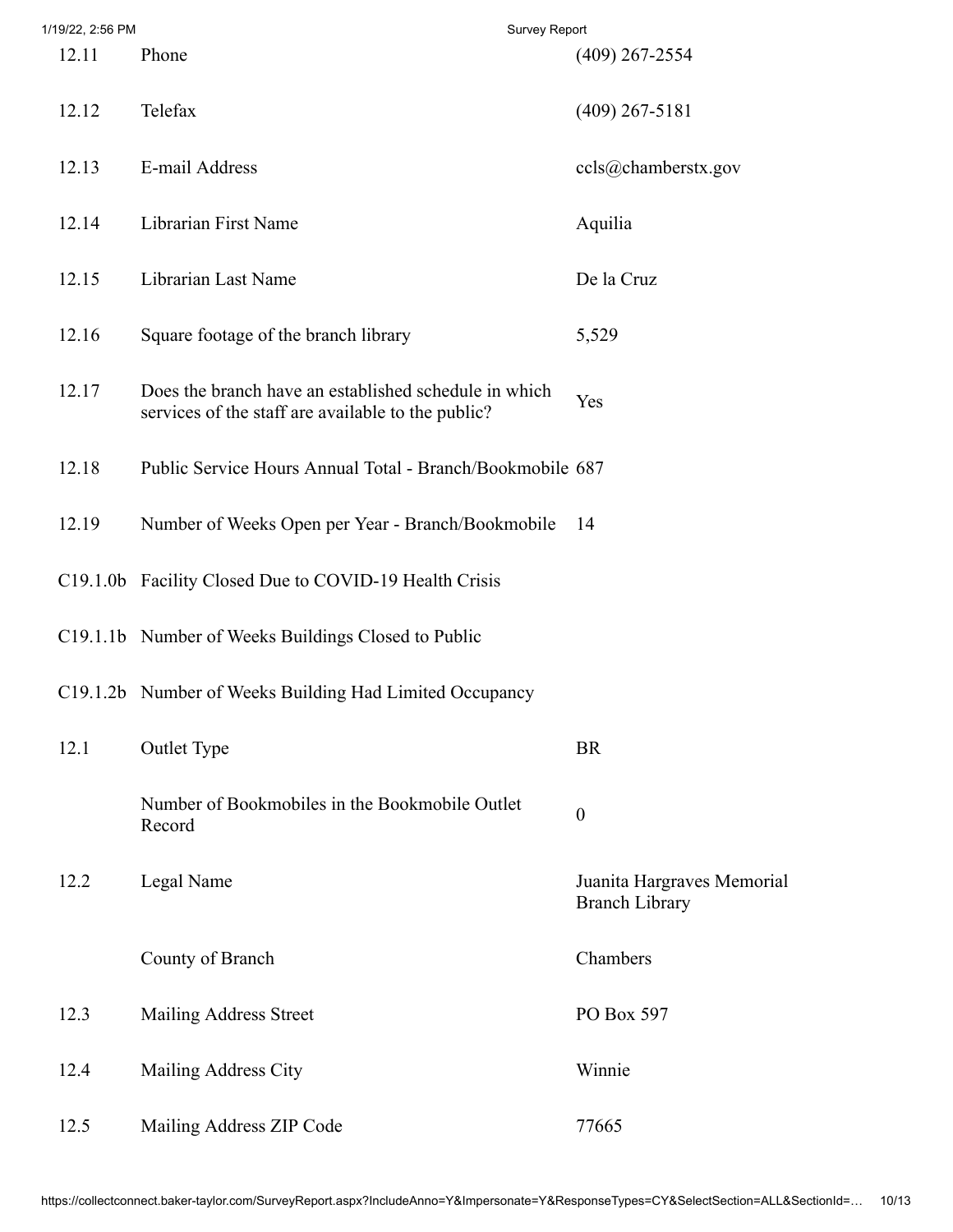| 1/19/22, 2:56 PM |                                                                                                             | Survey Report                                       |
|------------------|-------------------------------------------------------------------------------------------------------------|-----------------------------------------------------|
| 12.11            | Phone                                                                                                       | $(409)$ 267-2554                                    |
| 12.12            | Telefax                                                                                                     | $(409)$ 267-5181                                    |
| 12.13            | E-mail Address                                                                                              | ccls@chamberstx.gov                                 |
| 12.14            | Librarian First Name                                                                                        | Aquilia                                             |
| 12.15            | Librarian Last Name                                                                                         | De la Cruz                                          |
| 12.16            | Square footage of the branch library                                                                        | 5,529                                               |
| 12.17            | Does the branch have an established schedule in which<br>services of the staff are available to the public? | Yes                                                 |
| 12.18            | Public Service Hours Annual Total - Branch/Bookmobile 687                                                   |                                                     |
| 12.19            | Number of Weeks Open per Year - Branch/Bookmobile                                                           | 14                                                  |
|                  | C19.1.0b Facility Closed Due to COVID-19 Health Crisis                                                      |                                                     |
|                  | C19.1.1b Number of Weeks Buildings Closed to Public                                                         |                                                     |
|                  | C19.1.2b Number of Weeks Building Had Limited Occupancy                                                     |                                                     |
| 12.1             | <b>Outlet Type</b>                                                                                          | <b>BR</b>                                           |
|                  | Number of Bookmobiles in the Bookmobile Outlet<br>Record                                                    | $\boldsymbol{0}$                                    |
| 12.2             | Legal Name                                                                                                  | Juanita Hargraves Memorial<br><b>Branch Library</b> |
|                  | County of Branch                                                                                            | Chambers                                            |
| 12.3             | Mailing Address Street                                                                                      | PO Box 597                                          |
| 12.4             | Mailing Address City                                                                                        | Winnie                                              |
| 12.5             | Mailing Address ZIP Code                                                                                    | 77665                                               |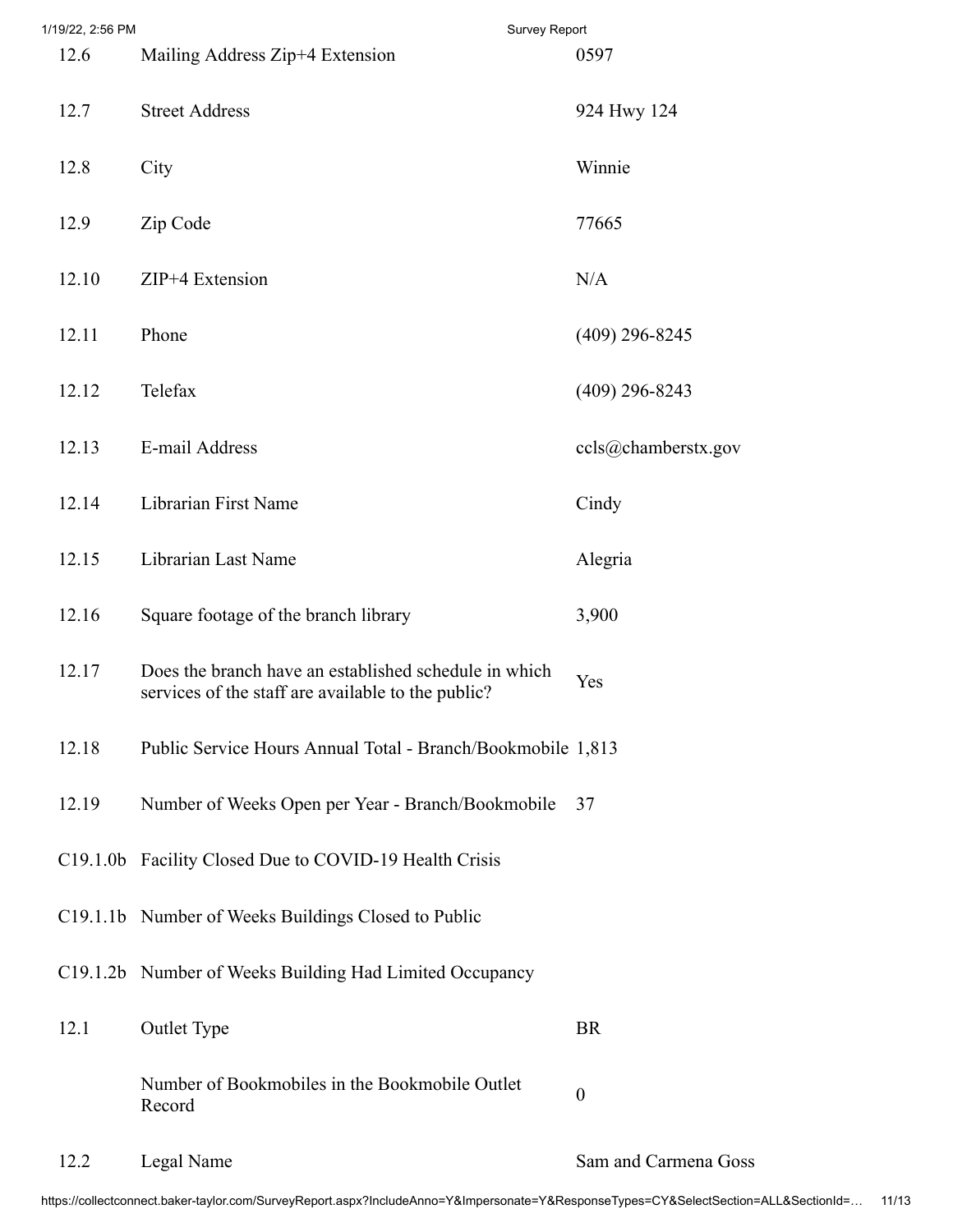| 1/19/22, 2:56 PM |                                                                                                             | Survey Report |                      |
|------------------|-------------------------------------------------------------------------------------------------------------|---------------|----------------------|
| 12.6             | Mailing Address Zip+4 Extension                                                                             |               | 0597                 |
| 12.7             | <b>Street Address</b>                                                                                       |               | 924 Hwy 124          |
| 12.8             | City                                                                                                        |               | Winnie               |
| 12.9             | Zip Code                                                                                                    |               | 77665                |
| 12.10            | ZIP+4 Extension                                                                                             |               | N/A                  |
| 12.11            | Phone                                                                                                       |               | $(409)$ 296-8245     |
| 12.12            | Telefax                                                                                                     |               | $(409)$ 296-8243     |
| 12.13            | E-mail Address                                                                                              |               | ccls@chamberstx.gov  |
| 12.14            | Librarian First Name                                                                                        |               | Cindy                |
| 12.15            | Librarian Last Name                                                                                         |               | Alegria              |
| 12.16            | Square footage of the branch library                                                                        |               | 3,900                |
| 12.17            | Does the branch have an established schedule in which<br>services of the staff are available to the public? |               | Yes                  |
| 12.18            | Public Service Hours Annual Total - Branch/Bookmobile 1,813                                                 |               |                      |
| 12.19            | Number of Weeks Open per Year - Branch/Bookmobile                                                           |               | 37                   |
|                  | C19.1.0b Facility Closed Due to COVID-19 Health Crisis                                                      |               |                      |
|                  | C19.1.1b Number of Weeks Buildings Closed to Public                                                         |               |                      |
|                  | C19.1.2b Number of Weeks Building Had Limited Occupancy                                                     |               |                      |
| 12.1             | <b>Outlet Type</b>                                                                                          |               | <b>BR</b>            |
|                  | Number of Bookmobiles in the Bookmobile Outlet<br>Record                                                    |               | $\boldsymbol{0}$     |
| 12.2             | Legal Name                                                                                                  |               | Sam and Carmena Goss |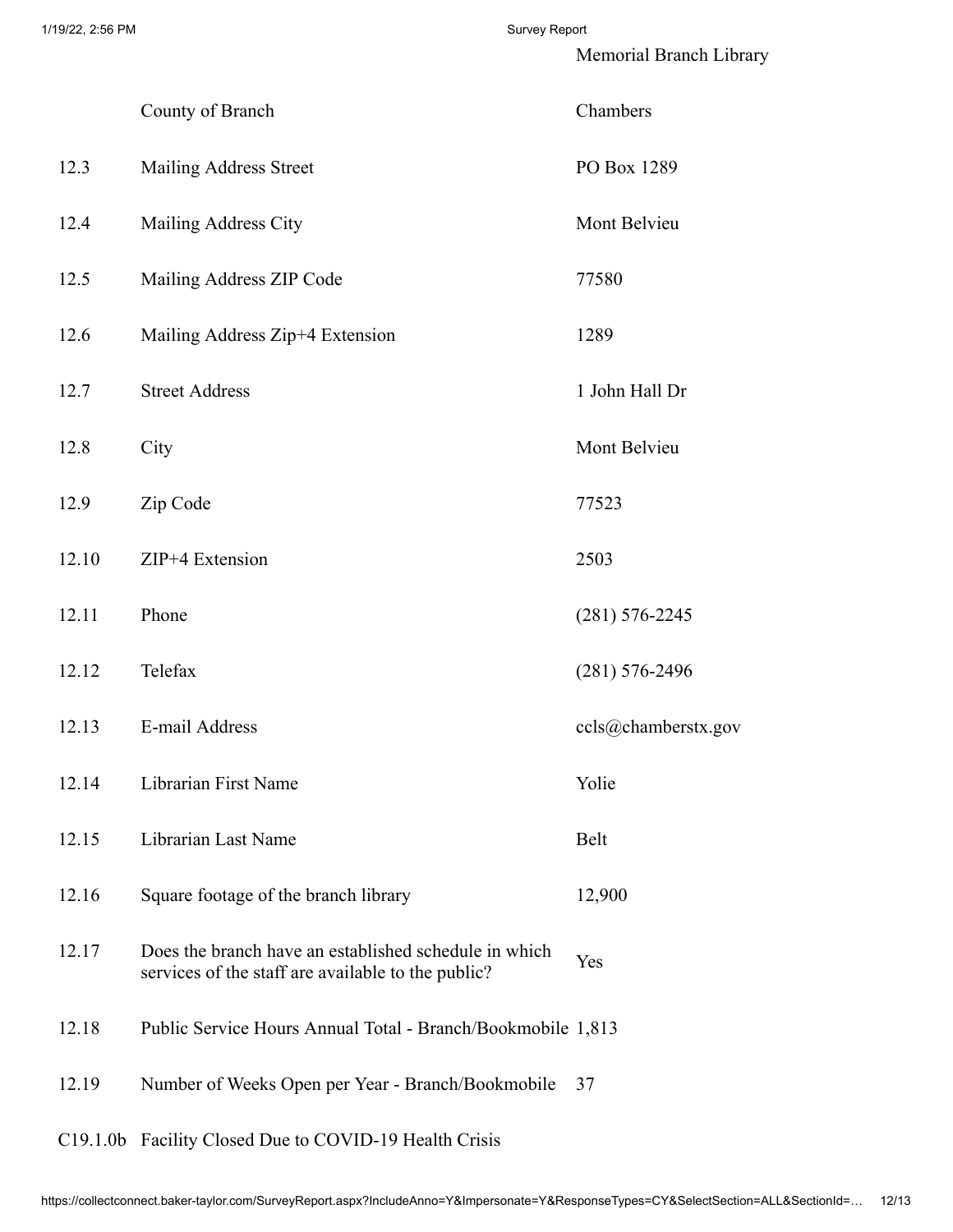Memorial Branch Library

|       | County of Branch                                                                                            | Chambers            |
|-------|-------------------------------------------------------------------------------------------------------------|---------------------|
| 12.3  | Mailing Address Street                                                                                      | PO Box 1289         |
| 12.4  | Mailing Address City                                                                                        | Mont Belvieu        |
| 12.5  | Mailing Address ZIP Code                                                                                    | 77580               |
| 12.6  | Mailing Address Zip+4 Extension                                                                             | 1289                |
| 12.7  | <b>Street Address</b>                                                                                       | 1 John Hall Dr      |
| 12.8  | City                                                                                                        | Mont Belvieu        |
| 12.9  | Zip Code                                                                                                    | 77523               |
| 12.10 | ZIP+4 Extension                                                                                             | 2503                |
| 12.11 | Phone                                                                                                       | $(281) 576 - 2245$  |
| 12.12 | Telefax                                                                                                     | $(281) 576 - 2496$  |
| 12.13 | E-mail Address                                                                                              | ccls@chamberstx.gov |
| 12.14 | Librarian First Name                                                                                        | Yolie               |
| 12.15 | Librarian Last Name                                                                                         | Belt                |
| 12.16 | Square footage of the branch library                                                                        | 12,900              |
| 12.17 | Does the branch have an established schedule in which<br>services of the staff are available to the public? | Yes                 |
| 12.18 | Public Service Hours Annual Total - Branch/Bookmobile 1,813                                                 |                     |
| 12.19 | Number of Weeks Open per Year - Branch/Bookmobile                                                           | 37                  |
|       | C19.1.0b Facility Closed Due to COVID-19 Health Crisis                                                      |                     |